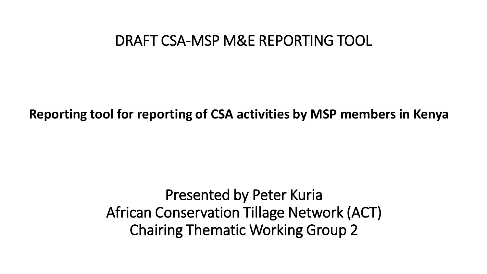### DRAFT CSA-MSP M&E REPORTING TOOL

**Reporting tool for reporting of CSA activities by MSP members in Kenya**

Presented by Peter Kuria African Conservation Tillage Network (ACT) Chairing Thematic Working Group 2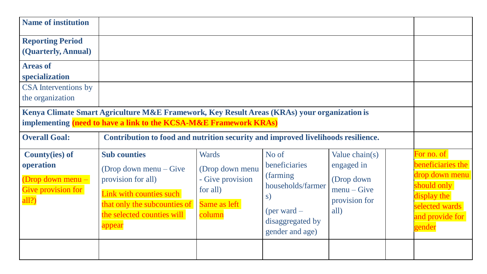| <b>Name of institution</b>                                                             |                                                                                                                                                                          |                                                                                           |                                                                                                                        |                                                                                       |                                                                                                                                |
|----------------------------------------------------------------------------------------|--------------------------------------------------------------------------------------------------------------------------------------------------------------------------|-------------------------------------------------------------------------------------------|------------------------------------------------------------------------------------------------------------------------|---------------------------------------------------------------------------------------|--------------------------------------------------------------------------------------------------------------------------------|
| <b>Reporting Period</b><br>(Quarterly, Annual)                                         |                                                                                                                                                                          |                                                                                           |                                                                                                                        |                                                                                       |                                                                                                                                |
| <b>Areas of</b><br>specialization                                                      |                                                                                                                                                                          |                                                                                           |                                                                                                                        |                                                                                       |                                                                                                                                |
| <b>CSA</b> Interventions by<br>the organization                                        |                                                                                                                                                                          |                                                                                           |                                                                                                                        |                                                                                       |                                                                                                                                |
|                                                                                        | Kenya Climate Smart Agriculture M&E Framework, Key Result Areas (KRAs) your organization is<br>implementing (need to have a link to the KCSA-M&E Framework KRAs)         |                                                                                           |                                                                                                                        |                                                                                       |                                                                                                                                |
| <b>Overall Goal:</b>                                                                   | Contribution to food and nutrition security and improved livelihoods resilience.                                                                                         |                                                                                           |                                                                                                                        |                                                                                       |                                                                                                                                |
| <b>County</b> (ies) of<br>operation<br>Drop down menu -<br>Give provision for<br>all?) | <b>Sub counties</b><br>(Drop down menu $-$ Give<br>provision for all)<br>Link with counties such<br>that only the subcounties of<br>the selected counties will<br>appear | <b>Wards</b><br>(Drop down menu<br>- Give provision<br>for all)<br>Same as left<br>column | No of<br>beneficiaries<br>(farming)<br>households/farmer<br>S)<br>(per ward $-$<br>disaggregated by<br>gender and age) | Value $chain(s)$<br>engaged in<br>(Drop down)<br>$menu-Give$<br>provision for<br>all) | For no. of<br>beneficiaries the<br>drop down menu<br>should only<br>display the<br>selected wards<br>and provide for<br>gender |
|                                                                                        |                                                                                                                                                                          |                                                                                           |                                                                                                                        |                                                                                       |                                                                                                                                |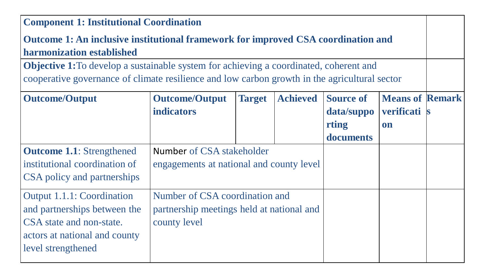| <b>Component 1: Institutional Coordination</b>                                                |                                                                                                         |  |  |            |            |  |
|-----------------------------------------------------------------------------------------------|---------------------------------------------------------------------------------------------------------|--|--|------------|------------|--|
| Outcome 1: An inclusive institutional framework for improved CSA coordination and             |                                                                                                         |  |  |            |            |  |
| harmonization established                                                                     |                                                                                                         |  |  |            |            |  |
| <b>Objective 1:</b> To develop a sustainable system for achieving a coordinated, coherent and |                                                                                                         |  |  |            |            |  |
| cooperative governance of climate resilience and low carbon growth in the agricultural sector |                                                                                                         |  |  |            |            |  |
| <b>Outcome/Output</b>                                                                         | <b>Means of Remark</b><br><b>Achieved</b><br><b>Source of</b><br><b>Outcome/Output</b><br><b>Target</b> |  |  |            |            |  |
|                                                                                               | <b>indicators</b>                                                                                       |  |  | data/suppo | verificati |  |
|                                                                                               |                                                                                                         |  |  | rting      | on         |  |
|                                                                                               |                                                                                                         |  |  | documents  |            |  |
| <b>Outcome 1.1:</b> Strengthened                                                              | Number of CSA stakeholder                                                                               |  |  |            |            |  |
| institutional coordination of                                                                 | engagements at national and county level                                                                |  |  |            |            |  |
| CSA policy and partnerships                                                                   |                                                                                                         |  |  |            |            |  |
| <b>Output 1.1.1: Coordination</b>                                                             | Number of CSA coordination and                                                                          |  |  |            |            |  |
| and partnerships between the                                                                  | partnership meetings held at national and                                                               |  |  |            |            |  |
| CSA state and non-state.                                                                      | county level                                                                                            |  |  |            |            |  |
| actors at national and county                                                                 |                                                                                                         |  |  |            |            |  |
| level strengthened                                                                            |                                                                                                         |  |  |            |            |  |
|                                                                                               |                                                                                                         |  |  |            |            |  |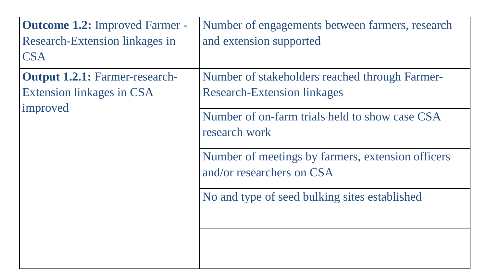| <b>Outcome 1.2: Improved Farmer -</b> | Number of engagements between farmers, research                                |
|---------------------------------------|--------------------------------------------------------------------------------|
| Research-Extension linkages in        | and extension supported                                                        |
| <b>CSA</b>                            |                                                                                |
| <b>Output 1.2.1: Farmer-research-</b> | Number of stakeholders reached through Farmer-                                 |
| <b>Extension linkages in CSA</b>      | <b>Research-Extension linkages</b>                                             |
| improved                              | Number of on-farm trials held to show case CSA<br>research work                |
|                                       | Number of meetings by farmers, extension officers<br>and/or researchers on CSA |
|                                       | No and type of seed bulking sites established                                  |
|                                       |                                                                                |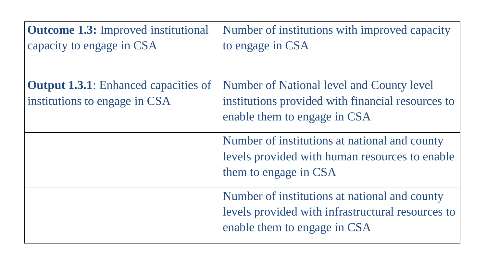| <b>Outcome 1.3:</b> Improved institutional<br>capacity to engage in CSA      | Number of institutions with improved capacity<br>to engage in CSA                                                                  |
|------------------------------------------------------------------------------|------------------------------------------------------------------------------------------------------------------------------------|
| <b>Output 1.3.1:</b> Enhanced capacities of<br>institutions to engage in CSA | Number of National level and County level<br>institutions provided with financial resources to<br>enable them to engage in CSA     |
|                                                                              | Number of institutions at national and county<br>levels provided with human resources to enable<br>them to engage in CSA           |
|                                                                              | Number of institutions at national and county<br>levels provided with infrastructural resources to<br>enable them to engage in CSA |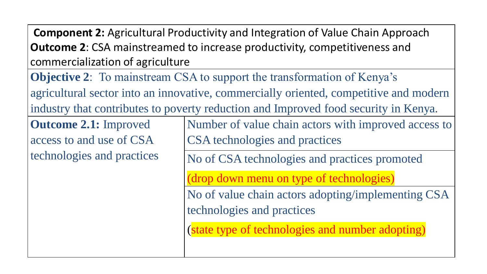**Component 2:** Agricultural Productivity and Integration of Value Chain Approach **Outcome 2**: CSA mainstreamed to increase productivity, competitiveness and commercialization of agriculture

**Objective 2**: To mainstream CSA to support the transformation of Kenya's agricultural sector into an innovative, commercially oriented, competitive and modern industry that contributes to poverty reduction and Improved food security in Kenya.

**Outcome 2.1:** Improved access to and use of CSA technologies and practices Number of value chain actors with improved access to CSA technologies and practices

No of CSA technologies and practices promoted

(drop down menu on type of technologies)

No of value chain actors adopting/implementing CSA technologies and practices

(state type of technologies and number adopting)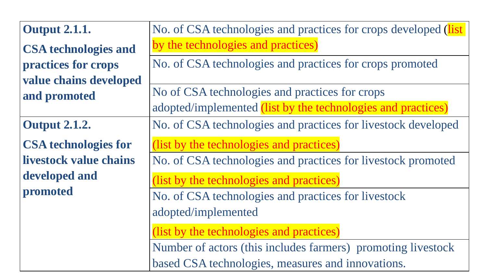| <b>Output 2.1.1.</b>        | No. of CSA technologies and practices for crops developed (list |  |
|-----------------------------|-----------------------------------------------------------------|--|
| <b>CSA</b> technologies and | by the technologies and practices)                              |  |
| practices for crops         | No. of CSA technologies and practices for crops promoted        |  |
| value chains developed      |                                                                 |  |
| and promoted                | No of CSA technologies and practices for crops                  |  |
|                             | adopted/implemented (list by the technologies and practices)    |  |
| <b>Output 2.1.2.</b>        | No. of CSA technologies and practices for livestock developed   |  |
| <b>CSA</b> technologies for | (list by the technologies and practices)                        |  |
| livestock value chains      | No. of CSA technologies and practices for livestock promoted    |  |
| developed and               | (list by the technologies and practices)                        |  |
| promoted                    | No. of CSA technologies and practices for livestock             |  |
|                             | adopted/implemented                                             |  |
|                             | (list by the technologies and practices)                        |  |
|                             | Number of actors (this includes farmers) promoting livestock    |  |
|                             | based CSA technologies, measures and innovations.               |  |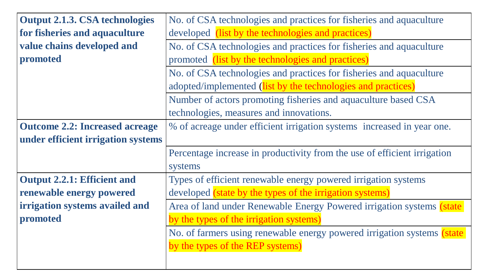| <b>Output 2.1.3. CSA technologies</b> | No. of CSA technologies and practices for fisheries and aquaculture      |  |
|---------------------------------------|--------------------------------------------------------------------------|--|
| for fisheries and aquaculture         | developed (list by the technologies and practices)                       |  |
| value chains developed and            | No. of CSA technologies and practices for fisheries and aquaculture      |  |
| promoted                              | promoted (list by the technologies and practices)                        |  |
|                                       | No. of CSA technologies and practices for fisheries and aquaculture      |  |
|                                       | adopted/implemented (list by the technologies and practices)             |  |
|                                       | Number of actors promoting fisheries and aquaculture based CSA           |  |
|                                       | technologies, measures and innovations.                                  |  |
| <b>Outcome 2.2: Increased acreage</b> | % of acreage under efficient irrigation systems increased in year one.   |  |
| under efficient irrigation systems    |                                                                          |  |
|                                       | Percentage increase in productivity from the use of efficient irrigation |  |
|                                       | systems                                                                  |  |
| <b>Output 2.2.1: Efficient and</b>    | Types of efficient renewable energy powered irrigation systems           |  |
| renewable energy powered              | developed (state by the types of the irrigation systems)                 |  |
| irrigation systems availed and        | Area of land under Renewable Energy Powered irrigation systems (state    |  |
| promoted                              | by the types of the irrigation systems)                                  |  |
|                                       | No. of farmers using renewable energy powered irrigation systems (state  |  |
|                                       | by the types of the REP systems)                                         |  |
|                                       |                                                                          |  |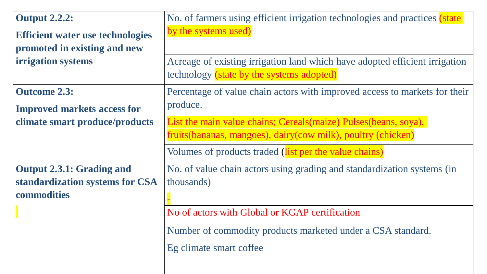| <b>Output 2.2.2:</b>                                                               | No. of farmers using efficient irrigation technologies and practices (state                                                                                                                                                       |
|------------------------------------------------------------------------------------|-----------------------------------------------------------------------------------------------------------------------------------------------------------------------------------------------------------------------------------|
| <b>Efficient water use technologies</b>                                            | by the systems used)                                                                                                                                                                                                              |
| promoted in existing and new                                                       | Acreage of existing irrigation land which have adopted efficient irrigation                                                                                                                                                       |
| irrigation systems                                                                 | technology (state by the systems adopted)                                                                                                                                                                                         |
| <b>Outcome 2.3:</b>                                                                | Percentage of value chain actors with improved access to markets for their                                                                                                                                                        |
| <b>Improved markets access for</b>                                                 | produce.                                                                                                                                                                                                                          |
| climate smart produce/products                                                     | List the main value chains; Cereals(maize) Pulses(beans, soya),<br>fruits (bananas, mangoes), dairy (cow milk), poultry (chicken)<br>Volumes of products traded (list per the value chains)                                       |
| <b>Output 2.3.1: Grading and</b><br>standardization systems for CSA<br>commodities | No. of value chain actors using grading and standardization systems (in<br>thousands)<br>No of actors with Global or KGAP certification<br>Number of commodity products marketed under a CSA standard.<br>Eg climate smart coffee |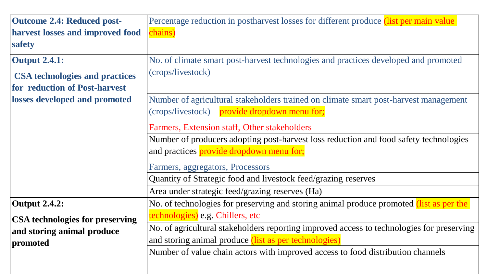| <b>Outcome 2.4: Reduced post-</b>      | Percentage reduction in postharvest losses for different produce (list per main value)    |  |
|----------------------------------------|-------------------------------------------------------------------------------------------|--|
| harvest losses and improved food       | chains)                                                                                   |  |
| safety                                 |                                                                                           |  |
| <b>Output 2.4.1:</b>                   | No. of climate smart post-harvest technologies and practices developed and promoted       |  |
| <b>CSA</b> technologies and practices  | (crops/livestock)                                                                         |  |
| for reduction of Post-harvest          |                                                                                           |  |
| losses developed and promoted          | Number of agricultural stakeholders trained on climate smart post-harvest management      |  |
|                                        | $(crops/livestock) - provide dropoutm menu for;$                                          |  |
|                                        | Farmers, Extension staff, Other stakeholders                                              |  |
|                                        | Number of producers adopting post-harvest loss reduction and food safety technologies     |  |
|                                        | and practices provide dropdown menu for;                                                  |  |
|                                        | Farmers, aggregators, Processors                                                          |  |
|                                        | Quantity of Strategic food and livestock feed/grazing reserves                            |  |
|                                        | Area under strategic feed/grazing reserves (Ha)                                           |  |
| <b>Output 2.4.2:</b>                   | No. of technologies for preserving and storing animal produce promoted (list as per the   |  |
| <b>CSA technologies for preserving</b> | technologies) e.g. Chillers, etc                                                          |  |
| and storing animal produce             | No. of agricultural stakeholders reporting improved access to technologies for preserving |  |
| promoted                               | and storing animal produce (list as per technologies)                                     |  |
|                                        | Number of value chain actors with improved access to food distribution channels           |  |
|                                        |                                                                                           |  |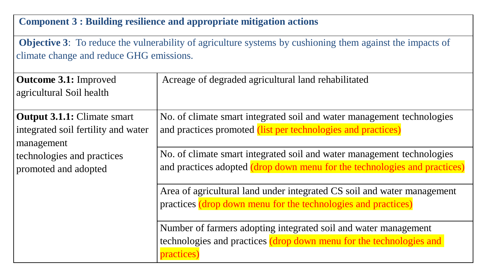#### **Component 3 : Building resilience and appropriate mitigation actions**

**Objective 3**: To reduce the vulnerability of agriculture systems by cushioning them against the impacts of climate change and reduce GHG emissions.

| <b>Outcome 3.1: Improved</b><br>agricultural Soil health                                | Acreage of degraded agricultural land rehabilitated                                                                                                  |
|-----------------------------------------------------------------------------------------|------------------------------------------------------------------------------------------------------------------------------------------------------|
| <b>Output 3.1.1:</b> Climate smart<br>integrated soil fertility and water<br>management | No. of climate smart integrated soil and water management technologies<br>and practices promoted (list per technologies and practices)               |
| technologies and practices<br>promoted and adopted                                      | No. of climate smart integrated soil and water management technologies<br>and practices adopted (drop down menu for the technologies and practices)  |
|                                                                                         | Area of agricultural land under integrated CS soil and water management<br>practices (drop down menu for the technologies and practices)             |
|                                                                                         | Number of farmers adopting integrated soil and water management<br>technologies and practices (drop down menu for the technologies and<br>practices) |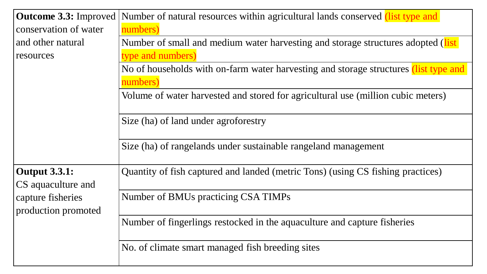|                                            | <b>Outcome 3.3:</b> Improved Number of natural resources within agricultural lands conserved <i>(list type and )</i> |
|--------------------------------------------|----------------------------------------------------------------------------------------------------------------------|
| conservation of water                      | numbers)                                                                                                             |
| and other natural                          | Number of small and medium water harvesting and storage structures adopted (list)                                    |
| resources                                  | type and numbers)                                                                                                    |
|                                            | No of households with on-farm water harvesting and storage structures (list type and                                 |
|                                            | numbers)                                                                                                             |
|                                            | Volume of water harvested and stored for agricultural use (million cubic meters)                                     |
|                                            | Size (ha) of land under agroforestry                                                                                 |
|                                            | Size (ha) of rangelands under sustainable rangeland management                                                       |
| <b>Output 3.3.1:</b><br>CS aquaculture and | Quantity of fish captured and landed (metric Tons) (using CS fishing practices)                                      |
| capture fisheries<br>production promoted   | Number of BMUs practicing CSA TIMPs                                                                                  |
|                                            | Number of fingerlings restocked in the aquaculture and capture fisheries                                             |
|                                            | No. of climate smart managed fish breeding sites                                                                     |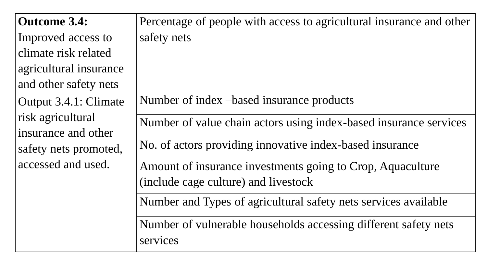| <b>Outcome 3.4:</b>                      | Percentage of people with access to agricultural insurance and other |
|------------------------------------------|----------------------------------------------------------------------|
| Improved access to                       | safety nets                                                          |
| climate risk related                     |                                                                      |
| agricultural insurance                   |                                                                      |
| and other safety nets                    |                                                                      |
| Output 3.4.1: Climate                    | Number of index – based insurance products                           |
| risk agricultural<br>insurance and other | Number of value chain actors using index-based insurance services    |
| safety nets promoted,                    | No. of actors providing innovative index-based insurance             |
| accessed and used.                       | Amount of insurance investments going to Crop, Aquaculture           |
|                                          | (include cage culture) and livestock                                 |
|                                          | Number and Types of agricultural safety nets services available      |
|                                          | Number of vulnerable households accessing different safety nets      |
|                                          | services                                                             |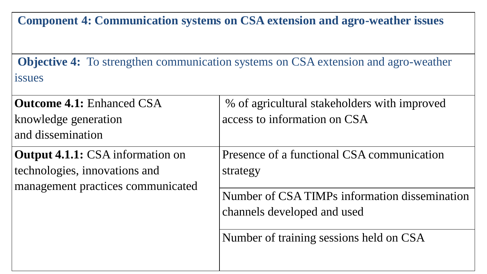**Component 4: Communication systems on CSA extension and agro-weather issues** 

**Objective 4:** To strengthen communication systems on CSA extension and agro-weather issues

| <b>Outcome 4.1: Enhanced CSA</b>        | % of agricultural stakeholders with improved                                                                            |
|-----------------------------------------|-------------------------------------------------------------------------------------------------------------------------|
| knowledge generation                    | access to information on CSA                                                                                            |
| and dissemination                       |                                                                                                                         |
| <b>Output 4.1.1:</b> CSA information on | Presence of a functional CSA communication                                                                              |
| technologies, innovations and           | strategy                                                                                                                |
| management practices communicated       | Number of CSA TIMPs information dissemination<br>channels developed and used<br>Number of training sessions held on CSA |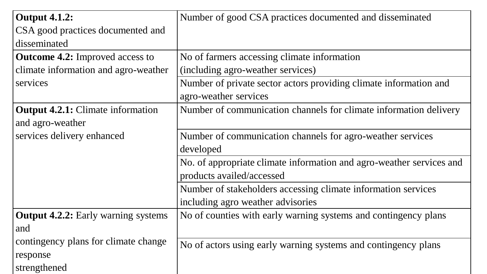| <b>Output 4.1.2:</b>                       | Number of good CSA practices documented and disseminated             |
|--------------------------------------------|----------------------------------------------------------------------|
| CSA good practices documented and          |                                                                      |
| disseminated                               |                                                                      |
| <b>Outcome 4.2:</b> Improved access to     | No of farmers accessing climate information                          |
| climate information and agro-weather       | (including agro-weather services)                                    |
| services                                   | Number of private sector actors providing climate information and    |
|                                            | agro-weather services                                                |
| <b>Output 4.2.1:</b> Climate information   | Number of communication channels for climate information delivery    |
| and agro-weather                           |                                                                      |
| services delivery enhanced                 | Number of communication channels for agro-weather services           |
|                                            | developed                                                            |
|                                            | No. of appropriate climate information and agro-weather services and |
|                                            | products availed/accessed                                            |
|                                            | Number of stakeholders accessing climate information services        |
|                                            | including agro weather advisories                                    |
| <b>Output 4.2.2:</b> Early warning systems | No of counties with early warning systems and contingency plans      |
| and                                        |                                                                      |
| contingency plans for climate change       | No of actors using early warning systems and contingency plans       |
| response                                   |                                                                      |
| strengthened                               |                                                                      |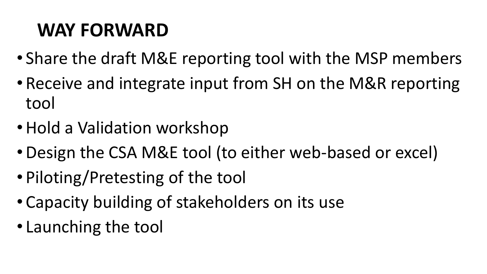# **WAY FORWARD**

- Share the draft M&E reporting tool with the MSP members
- Receive and integrate input from SH on the M&R reporting tool
- Hold a Validation workshop
- •Design the CSA M&E tool (to either web-based or excel)
- Piloting/Pretesting of the tool
- Capacity building of stakeholders on its use
- Launching the tool